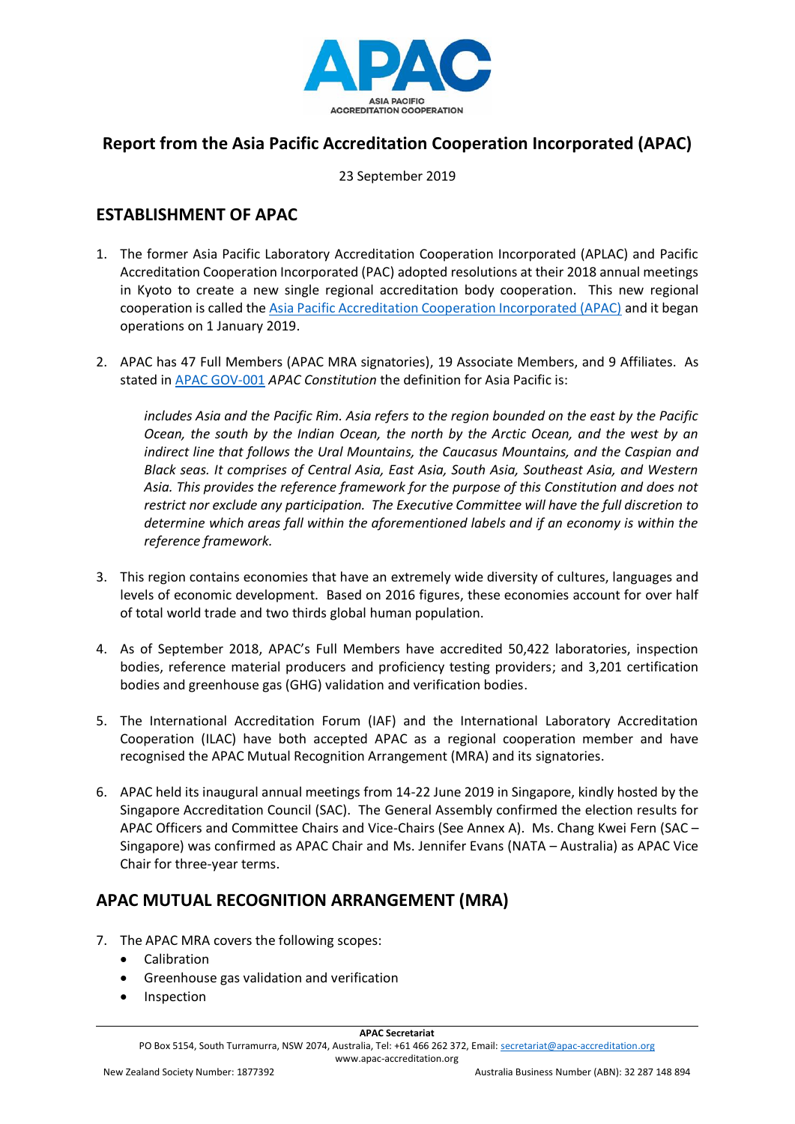

# **Report from the Asia Pacific Accreditation Cooperation Incorporated (APAC)**

23 September 2019

# **ESTABLISHMENT OF APAC**

- 1. The former Asia Pacific Laboratory Accreditation Cooperation Incorporated (APLAC) and Pacific Accreditation Cooperation Incorporated (PAC) adopted resolutions at their 2018 annual meetings in Kyoto to create a new single regional accreditation body cooperation. This new regional cooperation is called the [Asia Pacific Accreditation Cooperation Incorporated \(APAC\)](https://www.apac-accreditation.org/) and it began operations on 1 January 2019.
- 2. APAC has 47 Full Members (APAC MRA signatories), 19 Associate Members, and 9 Affiliates. As stated in [APAC GOV-001](https://www.apac-accreditation.org/publications/gov-series/) *APAC Constitution* the definition for Asia Pacific is:

*includes Asia and the Pacific Rim. Asia refers to the region bounded on the east by the Pacific Ocean, the south by the Indian Ocean, the north by the Arctic Ocean, and the west by an indirect line that follows the Ural Mountains, the Caucasus Mountains, and the Caspian and Black seas. It comprises of Central Asia, East Asia, South Asia, Southeast Asia, and Western Asia. This provides the reference framework for the purpose of this Constitution and does not restrict nor exclude any participation. The Executive Committee will have the full discretion to determine which areas fall within the aforementioned labels and if an economy is within the reference framework.*

- 3. This region contains economies that have an extremely wide diversity of cultures, languages and levels of economic development. Based on 2016 figures, these economies account for over half of total world trade and two thirds global human population.
- 4. As of September 2018, APAC's Full Members have accredited 50,422 laboratories, inspection bodies, reference material producers and proficiency testing providers; and 3,201 certification bodies and greenhouse gas (GHG) validation and verification bodies.
- 5. The International Accreditation Forum (IAF) and the International Laboratory Accreditation Cooperation (ILAC) have both accepted APAC as a regional cooperation member and have recognised the APAC Mutual Recognition Arrangement (MRA) and its signatories.
- 6. APAC held its inaugural annual meetings from 14-22 June 2019 in Singapore, kindly hosted by the Singapore Accreditation Council (SAC). The General Assembly confirmed the election results for APAC Officers and Committee Chairs and Vice-Chairs (See Annex A). Ms. Chang Kwei Fern (SAC – Singapore) was confirmed as APAC Chair and Ms. Jennifer Evans (NATA – Australia) as APAC Vice Chair for three-year terms.

# **APAC MUTUAL RECOGNITION ARRANGEMENT (MRA)**

- 7. The APAC MRA covers the following scopes:
	- Calibration
	- Greenhouse gas validation and verification
	- Inspection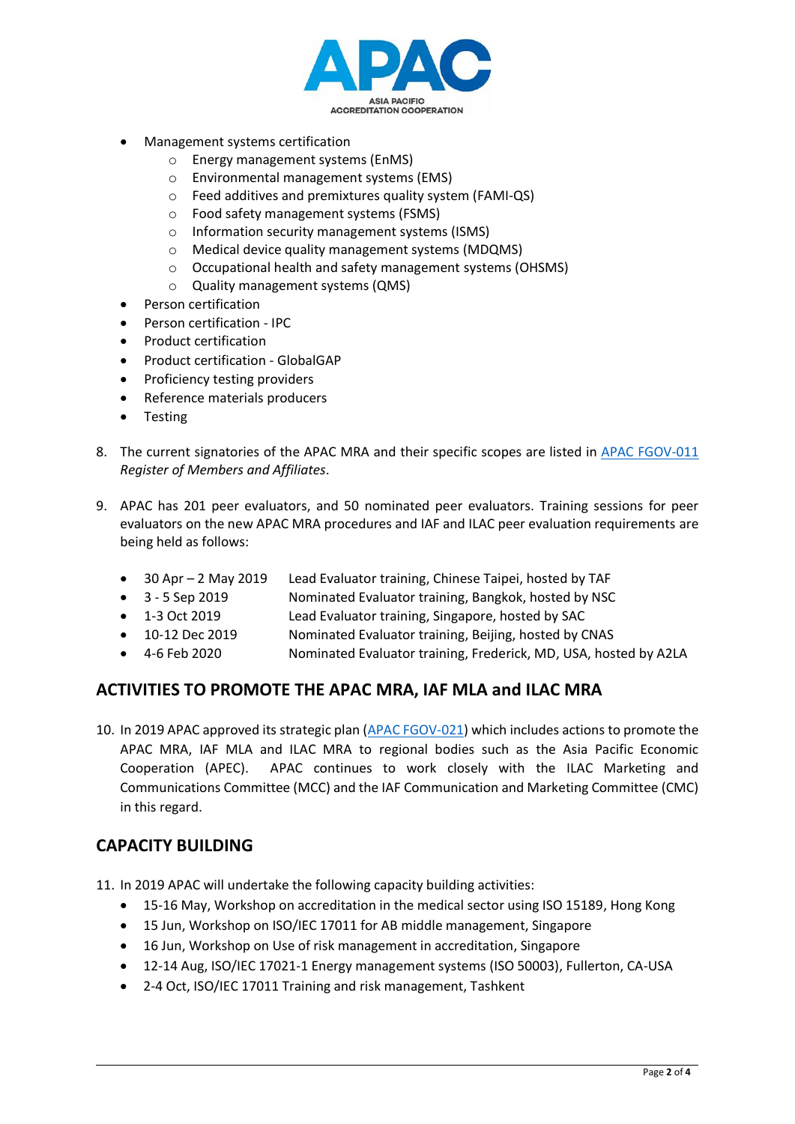

- Management systems certification
	- o Energy management systems (EnMS)
	- o Environmental management systems (EMS)
	- o Feed additives and premixtures quality system (FAMI-QS)
	- o Food safety management systems (FSMS)
	- o Information security management systems (ISMS)
	- o Medical device quality management systems (MDQMS)
	- o Occupational health and safety management systems (OHSMS)
	- o Quality management systems (QMS)
- Person certification
- Person certification IPC
- Product certification
- Product certification GlobalGAP
- Proficiency testing providers
- Reference materials producers
- Testing
- 8. The current signatories of the APAC MRA and their specific scopes are listed in [APAC FGOV-011](https://www.apac-accreditation.org/publications/gov-series/) *Register of Members and Affiliates*.
- 9. APAC has 201 peer evaluators, and 50 nominated peer evaluators. Training sessions for peer evaluators on the new APAC MRA procedures and IAF and ILAC peer evaluation requirements are being held as follows:
	- 30 Apr 2 May 2019 Lead Evaluator training, Chinese Taipei, hosted by TAF
	- 3 5 Sep 2019 Nominated Evaluator training, Bangkok, hosted by NSC
	- 1-3 Oct 2019 Lead Evaluator training, Singapore, hosted by SAC
	- 10-12 Dec 2019 Nominated Evaluator training, Beijing, hosted by CNAS
	- 4-6 Feb 2020 Nominated Evaluator training, Frederick, MD, USA, hosted by A2LA

### **ACTIVITIES TO PROMOTE THE APAC MRA, IAF MLA and ILAC MRA**

10. In 2019 APAC approved its strategic plan [\(APAC FGOV-021\)](https://www.apac-accreditation.org/publications/gov-series/) which includes actions to promote the APAC MRA, IAF MLA and ILAC MRA to regional bodies such as the Asia Pacific Economic Cooperation (APEC). APAC continues to work closely with the ILAC Marketing and Communications Committee (MCC) and the IAF Communication and Marketing Committee (CMC) in this regard.

### **CAPACITY BUILDING**

- 11. In 2019 APAC will undertake the following capacity building activities:
	- 15-16 May, Workshop on accreditation in the medical sector using ISO 15189, Hong Kong
	- 15 Jun, Workshop on ISO/IEC 17011 for AB middle management, Singapore
	- 16 Jun, Workshop on Use of risk management in accreditation, Singapore
	- 12-14 Aug, ISO/IEC 17021-1 Energy management systems (ISO 50003), Fullerton, CA-USA
	- 2-4 Oct, ISO/IEC 17011 Training and risk management, Tashkent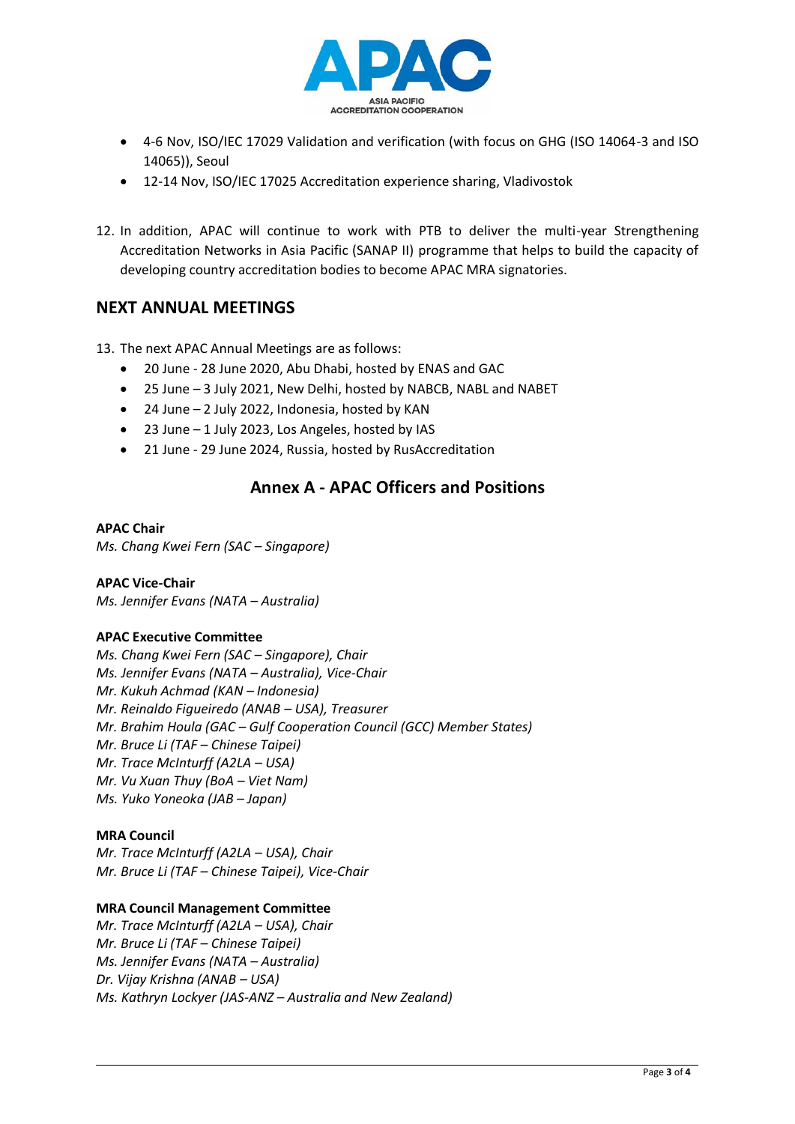

- 4-6 Nov, ISO/IEC 17029 Validation and verification (with focus on GHG (ISO 14064-3 and ISO 14065)), Seoul
- 12-14 Nov, ISO/IEC 17025 Accreditation experience sharing, Vladivostok
- 12. In addition, APAC will continue to work with PTB to deliver the multi-year Strengthening Accreditation Networks in Asia Pacific (SANAP II) programme that helps to build the capacity of developing country accreditation bodies to become APAC MRA signatories.

## **NEXT ANNUAL MEETINGS**

13. The next APAC Annual Meetings are as follows:

- 20 June 28 June 2020, Abu Dhabi, hosted by ENAS and GAC
- 25 June 3 July 2021, New Delhi, hosted by NABCB, NABL and NABET
- 24 June 2 July 2022, Indonesia, hosted by KAN
- 23 June 1 July 2023, Los Angeles, hosted by IAS
- 21 June 29 June 2024, Russia, hosted by RusAccreditation

## **Annex A - APAC Officers and Positions**

#### **APAC Chair**

*Ms. Chang Kwei Fern (SAC – Singapore)*

**APAC Vice-Chair** *Ms. Jennifer Evans (NATA – Australia)*

#### **APAC Executive Committee**

*Ms. Chang Kwei Fern (SAC – Singapore), Chair Ms. Jennifer Evans (NATA – Australia), Vice-Chair Mr. Kukuh Achmad (KAN – Indonesia) Mr. Reinaldo Figueiredo (ANAB – USA), Treasurer Mr. Brahim Houla (GAC – Gulf Cooperation Council (GCC) Member States) Mr. Bruce Li (TAF – Chinese Taipei) Mr. Trace McInturff (A2LA – USA) Mr. Vu Xuan Thuy (BoA – Viet Nam) Ms. Yuko Yoneoka (JAB – Japan)*

#### **MRA Council**

*Mr. Trace McInturff (A2LA – USA), Chair Mr. Bruce Li (TAF – Chinese Taipei), Vice-Chair*

#### **MRA Council Management Committee**

*Mr. Trace McInturff (A2LA – USA), Chair Mr. Bruce Li (TAF – Chinese Taipei) Ms. Jennifer Evans (NATA – Australia) Dr. Vijay Krishna (ANAB – USA) Ms. Kathryn Lockyer (JAS-ANZ – Australia and New Zealand)*